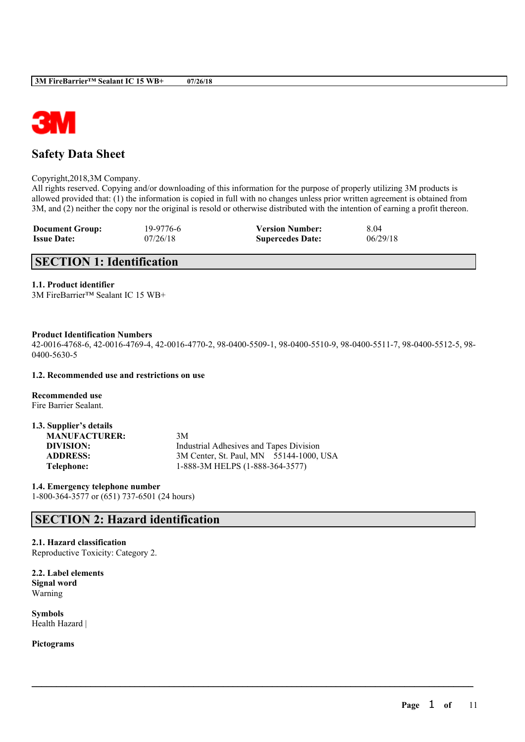

# **Safety Data Sheet**

Copyright,2018,3M Company.

All rights reserved. Copying and/or downloading of this information for the purpose of properly utilizing 3M products is allowed provided that: (1) the information is copied in full with no changes unless prior written agreement is obtained from 3M, and (2) neither the copy nor the original is resold or otherwise distributed with the intention of earning a profit thereon.

| <b>Document Group:</b> | 19-9776-6 | <b>Version Number:</b>  | 8.04     |
|------------------------|-----------|-------------------------|----------|
| <b>Issue Date:</b>     | 07/26/18  | <b>Supercedes Date:</b> | 06/29/18 |

# **SECTION 1: Identification**

### **1.1. Product identifier**

3M FireBarrier™ Sealant IC 15 WB+

#### **Product Identification Numbers**

42-0016-4768-6, 42-0016-4769-4, 42-0016-4770-2, 98-0400-5509-1, 98-0400-5510-9, 98-0400-5511-7, 98-0400-5512-5, 98- 0400-5630-5

 $\mathcal{L}_\mathcal{L} = \mathcal{L}_\mathcal{L} = \mathcal{L}_\mathcal{L} = \mathcal{L}_\mathcal{L} = \mathcal{L}_\mathcal{L} = \mathcal{L}_\mathcal{L} = \mathcal{L}_\mathcal{L} = \mathcal{L}_\mathcal{L} = \mathcal{L}_\mathcal{L} = \mathcal{L}_\mathcal{L} = \mathcal{L}_\mathcal{L} = \mathcal{L}_\mathcal{L} = \mathcal{L}_\mathcal{L} = \mathcal{L}_\mathcal{L} = \mathcal{L}_\mathcal{L} = \mathcal{L}_\mathcal{L} = \mathcal{L}_\mathcal{L}$ 

#### **1.2. Recommended use and restrictions on use**

**Recommended use** Fire Barrier Sealant.

| 1.3. Supplier's details |                                         |
|-------------------------|-----------------------------------------|
| <b>MANUFACTURER:</b>    | 3M                                      |
| DIVISION:               | Industrial Adhesives and Tapes Division |
| <b>ADDRESS:</b>         | 3M Center, St. Paul, MN 55144-1000, USA |
| Telephone:              | 1-888-3M HELPS (1-888-364-3577)         |

**1.4. Emergency telephone number** 1-800-364-3577 or (651) 737-6501 (24 hours)

# **SECTION 2: Hazard identification**

### **2.1. Hazard classification**

Reproductive Toxicity: Category 2.

**2.2. Label elements Signal word** Warning

**Symbols** Health Hazard |

**Pictograms**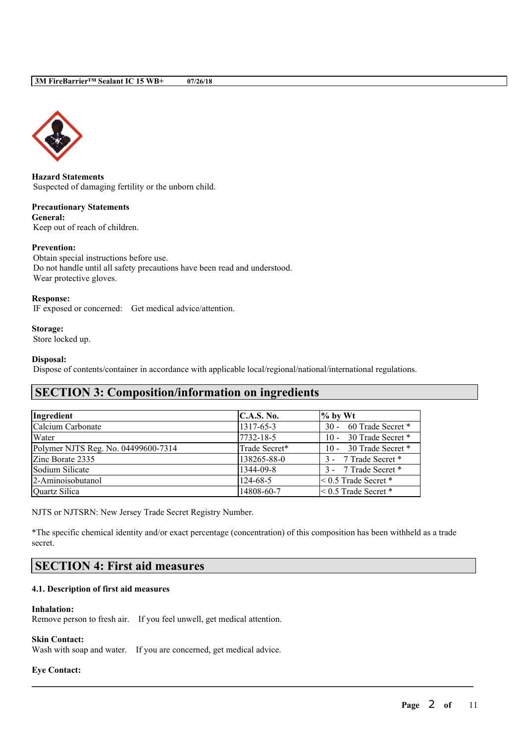

**Hazard Statements** Suspected of damaging fertility or the unborn child.

**Precautionary Statements General:** Keep out of reach of children.

#### **Prevention:**

Obtain special instructions before use. Do not handle until all safety precautions have been read and understood. Wear protective gloves.

#### **Response:**

IF exposed or concerned: Get medical advice/attention.

**Storage:**

Store locked up.

### **Disposal:**

Dispose of contents/container in accordance with applicable local/regional/national/international regulations.

# **SECTION 3: Composition/information on ingredients**

| Ingredient                          | <b>C.A.S. No.</b> | $%$ by Wt                   |
|-------------------------------------|-------------------|-----------------------------|
| Calcium Carbonate                   | 1317-65-3         | 30 - 60 Trade Secret *      |
| Water                               | 7732-18-5         | 10 - 30 Trade Secret *      |
| Polymer NJTS Reg. No. 04499600-7314 | Trade Secret*     | 10 - 30 Trade Secret *      |
| Zinc Borate 2335                    | 138265-88-0       | 3 - 7 Trade Secret *        |
| Sodium Silicate                     | 1344-09-8         | 3 - 7 Trade Secret *        |
| 2-Aminoisobutanol                   | 124-68-5          | $< 0.5$ Trade Secret $*$    |
| Quartz Silica                       | 14808-60-7        | $\leq 0.5$ Trade Secret $*$ |

NJTS or NJTSRN: New Jersey Trade Secret Registry Number.

\*The specific chemical identity and/or exact percentage (concentration) of this composition has been withheld as a trade secret.

 $\mathcal{L}_\mathcal{L} = \mathcal{L}_\mathcal{L} = \mathcal{L}_\mathcal{L} = \mathcal{L}_\mathcal{L} = \mathcal{L}_\mathcal{L} = \mathcal{L}_\mathcal{L} = \mathcal{L}_\mathcal{L} = \mathcal{L}_\mathcal{L} = \mathcal{L}_\mathcal{L} = \mathcal{L}_\mathcal{L} = \mathcal{L}_\mathcal{L} = \mathcal{L}_\mathcal{L} = \mathcal{L}_\mathcal{L} = \mathcal{L}_\mathcal{L} = \mathcal{L}_\mathcal{L} = \mathcal{L}_\mathcal{L} = \mathcal{L}_\mathcal{L}$ 

# **SECTION 4: First aid measures**

#### **4.1. Description of first aid measures**

#### **Inhalation:**

Remove person to fresh air. If you feel unwell, get medical attention.

#### **Skin Contact:**

Wash with soap and water. If you are concerned, get medical advice.

#### **Eye Contact:**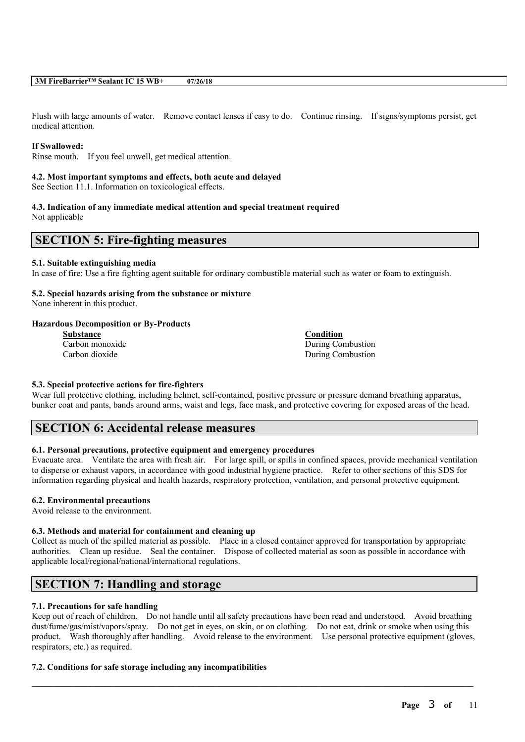Flush with large amounts of water. Remove contact lenses if easy to do. Continue rinsing. If signs/symptoms persist, get medical attention.

#### **If Swallowed:**

Rinse mouth. If you feel unwell, get medical attention.

#### **4.2. Most important symptoms and effects, both acute and delayed**

See Section 11.1. Information on toxicological effects.

#### **4.3. Indication of any immediate medical attention and special treatment required** Not applicable

### **SECTION 5: Fire-fighting measures**

#### **5.1. Suitable extinguishing media**

In case of fire: Use a fire fighting agent suitable for ordinary combustible material such as water or foam to extinguish.

### **5.2. Special hazards arising from the substance or mixture**

None inherent in this product.

#### **Hazardous Decomposition or By-Products**

**Substance Condition**

**Carbon monoxide** During Combustion Carbon dioxide During Combustion

#### **5.3. Special protective actions for fire-fighters**

Wear full protective clothing, including helmet, self-contained, positive pressure or pressure demand breathing apparatus, bunker coat and pants, bands around arms, waist and legs, face mask, and protective covering for exposed areas of the head.

# **SECTION 6: Accidental release measures**

#### **6.1. Personal precautions, protective equipment and emergency procedures**

Evacuate area. Ventilate the area with fresh air. For large spill, or spills in confined spaces, provide mechanical ventilation to disperse or exhaust vapors, in accordance with good industrial hygiene practice. Refer to other sections of this SDS for information regarding physical and health hazards, respiratory protection, ventilation, and personal protective equipment.

#### **6.2. Environmental precautions**

Avoid release to the environment.

#### **6.3. Methods and material for containment and cleaning up**

Collect as much of the spilled material as possible. Place in a closed container approved for transportation by appropriate authorities. Clean up residue. Seal the container. Dispose of collected material as soon as possible in accordance with applicable local/regional/national/international regulations.

# **SECTION 7: Handling and storage**

#### **7.1. Precautions for safe handling**

Keep out of reach of children. Do not handle until all safety precautions have been read and understood. Avoid breathing dust/fume/gas/mist/vapors/spray. Do not get in eyes, on skin, or on clothing. Do not eat, drink or smoke when using this product. Wash thoroughly after handling. Avoid release to the environment. Use personal protective equipment (gloves, respirators, etc.) as required.

 $\mathcal{L}_\mathcal{L} = \mathcal{L}_\mathcal{L} = \mathcal{L}_\mathcal{L} = \mathcal{L}_\mathcal{L} = \mathcal{L}_\mathcal{L} = \mathcal{L}_\mathcal{L} = \mathcal{L}_\mathcal{L} = \mathcal{L}_\mathcal{L} = \mathcal{L}_\mathcal{L} = \mathcal{L}_\mathcal{L} = \mathcal{L}_\mathcal{L} = \mathcal{L}_\mathcal{L} = \mathcal{L}_\mathcal{L} = \mathcal{L}_\mathcal{L} = \mathcal{L}_\mathcal{L} = \mathcal{L}_\mathcal{L} = \mathcal{L}_\mathcal{L}$ 

#### **7.2. Conditions for safe storage including any incompatibilities**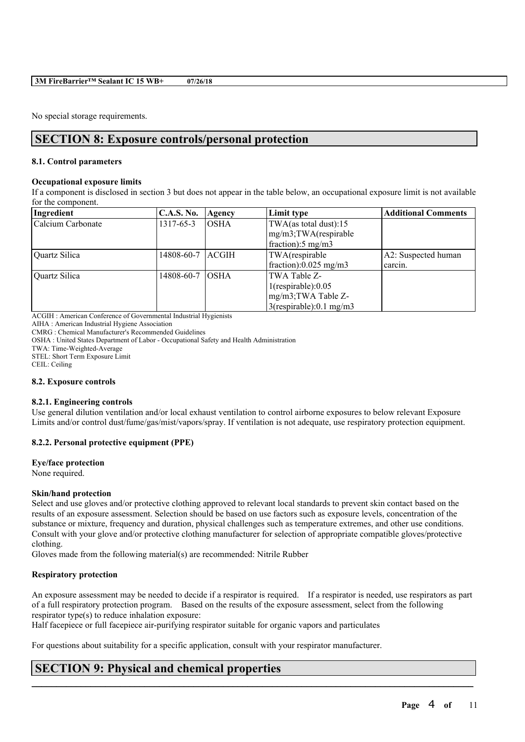No special storage requirements.

# **SECTION 8: Exposure controls/personal protection**

#### **8.1. Control parameters**

#### **Occupational exposure limits**

If a component is disclosed in section 3 but does not appear in the table below, an occupational exposure limit is not available for the component.

| Ingredient        | <b>C.A.S. No.</b> | Agency       | Limit type                         | <b>Additional Comments</b> |
|-------------------|-------------------|--------------|------------------------------------|----------------------------|
| Calcium Carbonate | 1317-65-3         | <b>OSHA</b>  | TWA(as total dust):15              |                            |
|                   |                   |              | mg/m3;TWA(respirable               |                            |
|                   |                   |              | $frac{1}{2}$ fraction: 5 mg/m3     |                            |
| Quartz Silica     | 14808-60-7        | <b>ACGIH</b> | TWA(respirable                     | A2: Suspected human        |
|                   |                   |              | $frac{1}{2}$ fraction):0.025 mg/m3 | carcin.                    |
| Quartz Silica     | 14808-60-7        | <b>OSHA</b>  | TWA Table Z-                       |                            |
|                   |                   |              | $1$ (respirable): $0.05$           |                            |
|                   |                   |              | mg/m3;TWA Table Z-                 |                            |
|                   |                   |              | $3$ (respirable):0.1 mg/m3         |                            |

ACGIH : American Conference of Governmental Industrial Hygienists

AIHA : American Industrial Hygiene Association

CMRG : Chemical Manufacturer's Recommended Guidelines

OSHA : United States Department of Labor - Occupational Safety and Health Administration

TWA: Time-Weighted-Average

STEL: Short Term Exposure Limit

CEIL: Ceiling

#### **8.2. Exposure controls**

#### **8.2.1. Engineering controls**

Use general dilution ventilation and/or local exhaust ventilation to control airborne exposures to below relevant Exposure Limits and/or control dust/fume/gas/mist/vapors/spray. If ventilation is not adequate, use respiratory protection equipment.

#### **8.2.2. Personal protective equipment (PPE)**

#### **Eye/face protection**

None required.

#### **Skin/hand protection**

Select and use gloves and/or protective clothing approved to relevant local standards to prevent skin contact based on the results of an exposure assessment. Selection should be based on use factors such as exposure levels, concentration of the substance or mixture, frequency and duration, physical challenges such as temperature extremes, and other use conditions. Consult with your glove and/or protective clothing manufacturer for selection of appropriate compatible gloves/protective clothing.

Gloves made from the following material(s) are recommended: Nitrile Rubber

#### **Respiratory protection**

An exposure assessment may be needed to decide if a respirator is required. If a respirator is needed, use respirators as part of a full respiratory protection program. Based on the results of the exposure assessment, select from the following respirator type(s) to reduce inhalation exposure:

 $\mathcal{L}_\mathcal{L} = \mathcal{L}_\mathcal{L} = \mathcal{L}_\mathcal{L} = \mathcal{L}_\mathcal{L} = \mathcal{L}_\mathcal{L} = \mathcal{L}_\mathcal{L} = \mathcal{L}_\mathcal{L} = \mathcal{L}_\mathcal{L} = \mathcal{L}_\mathcal{L} = \mathcal{L}_\mathcal{L} = \mathcal{L}_\mathcal{L} = \mathcal{L}_\mathcal{L} = \mathcal{L}_\mathcal{L} = \mathcal{L}_\mathcal{L} = \mathcal{L}_\mathcal{L} = \mathcal{L}_\mathcal{L} = \mathcal{L}_\mathcal{L}$ 

Half facepiece or full facepiece air-purifying respirator suitable for organic vapors and particulates

For questions about suitability for a specific application, consult with your respirator manufacturer.

# **SECTION 9: Physical and chemical properties**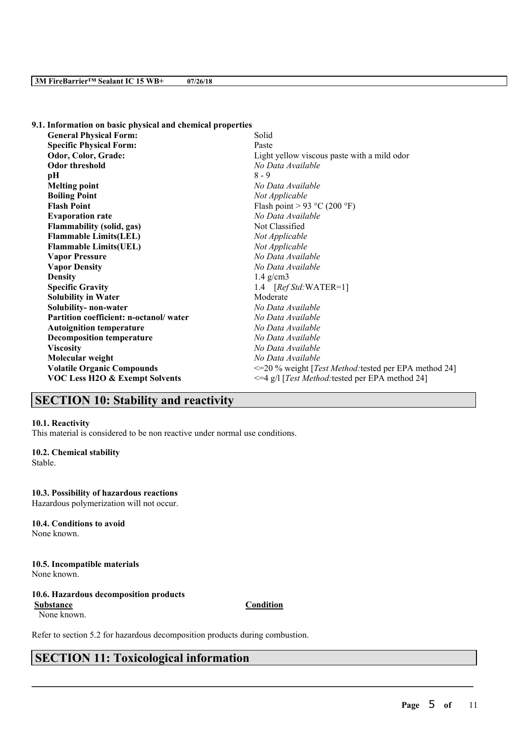| 9.1. Information on basic physical and chemical properties |                                                                |
|------------------------------------------------------------|----------------------------------------------------------------|
| <b>General Physical Form:</b>                              | Solid                                                          |
| <b>Specific Physical Form:</b>                             | Paste                                                          |
| Odor, Color, Grade:                                        | Light yellow viscous paste with a mild odor                    |
| <b>Odor threshold</b>                                      | No Data Available                                              |
| pН                                                         | $8 - 9$                                                        |
| <b>Melting point</b>                                       | No Data Available                                              |
| <b>Boiling Point</b>                                       | Not Applicable                                                 |
| <b>Flash Point</b>                                         | Flash point > 93 °C (200 °F)                                   |
| <b>Evaporation rate</b>                                    | No Data Available                                              |
| <b>Flammability (solid, gas)</b>                           | Not Classified                                                 |
| <b>Flammable Limits(LEL)</b>                               | Not Applicable                                                 |
| <b>Flammable Limits(UEL)</b>                               | Not Applicable                                                 |
| <b>Vapor Pressure</b>                                      | No Data Available                                              |
| <b>Vapor Density</b>                                       | No Data Available                                              |
| <b>Density</b>                                             | $1.4$ g/cm3                                                    |
| <b>Specific Gravity</b>                                    | 1.4 $[RefStd:WATER=1]$                                         |
| <b>Solubility in Water</b>                                 | Moderate                                                       |
| Solubility- non-water                                      | No Data Available                                              |
| Partition coefficient: n-octanol/water                     | No Data Available                                              |
| <b>Autoignition temperature</b>                            | No Data Available                                              |
| <b>Decomposition temperature</b>                           | No Data Available                                              |
| <b>Viscosity</b>                                           | No Data Available                                              |
| Molecular weight                                           | No Data Available                                              |
| <b>Volatile Organic Compounds</b>                          | <= 20 % weight [ <i>Test Method:</i> tested per EPA method 24] |
| VOC Less H2O & Exempt Solvents                             | <= 4 g/l [Test Method: tested per EPA method 24]               |
|                                                            |                                                                |

# **SECTION 10: Stability and reactivity**

#### **10.1. Reactivity**

This material is considered to be non reactive under normal use conditions.

#### **10.2. Chemical stability**

Stable.

#### **10.3. Possibility of hazardous reactions**

Hazardous polymerization will not occur.

#### **10.4. Conditions to avoid**

None known.

# **10.5. Incompatible materials**

None known.

### **10.6. Hazardous decomposition products**

None known.

**Substance Condition** 

 $\mathcal{L}_\mathcal{L} = \mathcal{L}_\mathcal{L} = \mathcal{L}_\mathcal{L} = \mathcal{L}_\mathcal{L} = \mathcal{L}_\mathcal{L} = \mathcal{L}_\mathcal{L} = \mathcal{L}_\mathcal{L} = \mathcal{L}_\mathcal{L} = \mathcal{L}_\mathcal{L} = \mathcal{L}_\mathcal{L} = \mathcal{L}_\mathcal{L} = \mathcal{L}_\mathcal{L} = \mathcal{L}_\mathcal{L} = \mathcal{L}_\mathcal{L} = \mathcal{L}_\mathcal{L} = \mathcal{L}_\mathcal{L} = \mathcal{L}_\mathcal{L}$ 

Refer to section 5.2 for hazardous decomposition products during combustion.

# **SECTION 11: Toxicological information**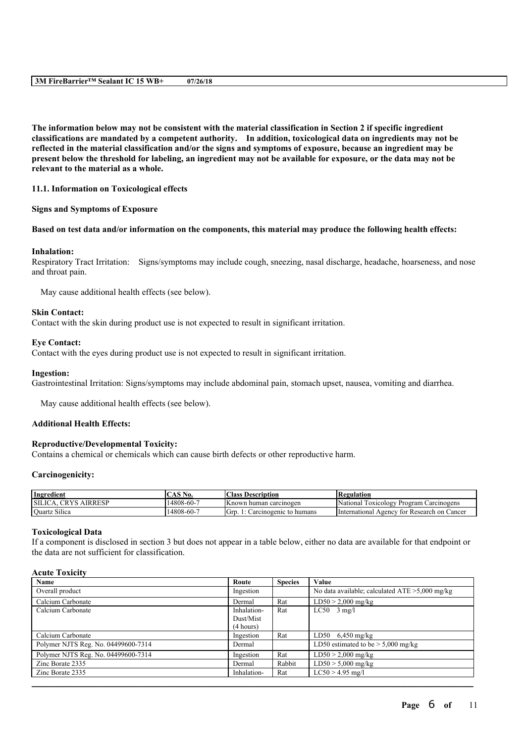The information below may not be consistent with the material classification in Section 2 if specific ingredient **classifications are mandated by a competent authority. In addition, toxicological data on ingredients may not be** reflected in the material classification and/or the signs and symptoms of exposure, because an ingredient may be present below the threshold for labeling, an ingredient may not be available for exposure, or the data may not be **relevant to the material as a whole.**

#### **11.1. Information on Toxicological effects**

#### **Signs and Symptoms of Exposure**

#### Based on test data and/or information on the components, this material may produce the following health effects:

#### **Inhalation:**

Respiratory Tract Irritation: Signs/symptoms may include cough, sneezing, nasal discharge, headache, hoarseness, and nose and throat pain.

May cause additional health effects (see below).

#### **Skin Contact:**

Contact with the skin during product use is not expected to result in significant irritation.

#### **Eye Contact:**

Contact with the eyes during product use is not expected to result in significant irritation.

#### **Ingestion:**

Gastrointestinal Irritation: Signs/symptoms may include abdominal pain, stomach upset, nausea, vomiting and diarrhea.

May cause additional health effects (see below).

### **Additional Health Effects:**

#### **Reproductive/Developmental Toxicity:**

Contains a chemical or chemicals which can cause birth defects or other reproductive harm.

#### **Carcinogenicity:**

| Ingredient                              | 'AS No.          | <b>Class Description</b>                    | Regulation                                      |
|-----------------------------------------|------------------|---------------------------------------------|-------------------------------------------------|
| <b>SILICA</b><br><b>AIRRESP</b><br>CRYS | $14808 - 60 - 7$ | IKnown human carcinogen                     | National<br>/ Program Carcinogens<br>Toxicology |
| $\sim$ $\sim$<br>Quartz Silica          | - 4808-60، 1     | <sup>I</sup> Grp.<br>Carcinogenic to humans | Unternational.<br>Agency for Research on Cancer |

#### **Toxicological Data**

If a component is disclosed in section 3 but does not appear in a table below, either no data are available for that endpoint or the data are not sufficient for classification.

#### **Acute Toxicity**

| Name                                | Route       | <b>Species</b> | Value                                             |
|-------------------------------------|-------------|----------------|---------------------------------------------------|
| Overall product                     | Ingestion   |                | No data available; calculated $ATE > 5,000$ mg/kg |
| Calcium Carbonate                   | Dermal      | Rat            | $LD50 > 2,000$ mg/kg                              |
| Calcium Carbonate                   | Inhalation- | Rat            | $LC50$ 3 mg/l                                     |
|                                     | Dust/Mist   |                |                                                   |
|                                     | (4 hours)   |                |                                                   |
| Calcium Carbonate                   | Ingestion   | Rat            | LD50 $6,450 \text{ mg/kg}$                        |
| Polymer NJTS Reg. No. 04499600-7314 | Dermal      |                | LD50 estimated to be $> 5,000$ mg/kg              |
| Polymer NJTS Reg. No. 04499600-7314 | Ingestion   | Rat            | $LD50 > 2,000$ mg/kg                              |
| Zinc Borate 2335                    | Dermal      | Rabbit         | $LD50 > 5,000$ mg/kg                              |
| Zinc Borate 2335                    | Inhalation- | Rat            | $LC50 > 4.95$ mg/l                                |
|                                     |             |                |                                                   |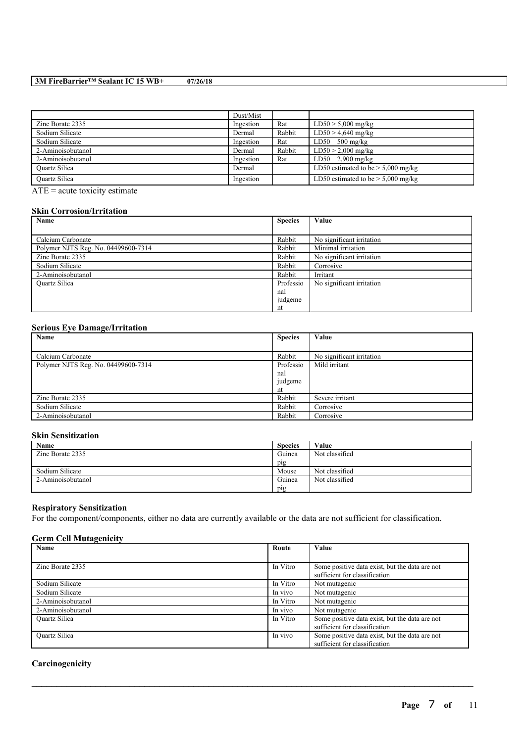|                      | Dust/Mist |        |                                      |
|----------------------|-----------|--------|--------------------------------------|
| Zinc Borate 2335     | Ingestion | Rat    | $LD50 > 5,000$ mg/kg                 |
| Sodium Silicate      | Dermal    | Rabbit | $LD50 > 4,640$ mg/kg                 |
| Sodium Silicate      | Ingestion | Rat    | $LD50$ 500 mg/kg                     |
| 2-Aminoisobutanol    | Dermal    | Rabbit | $LD50 > 2,000$ mg/kg                 |
| 2-Aminoisobutanol    | Ingestion | Rat    | LD50 $2,900$ mg/kg                   |
| <b>Ouartz Silica</b> | Dermal    |        | LD50 estimated to be $> 5,000$ mg/kg |
| <b>Ouartz Silica</b> | Ingestion |        | LD50 estimated to be $>$ 5,000 mg/kg |

 $\overline{ATE}$  = acute toxicity estimate

#### **Skin Corrosion/Irritation**

| Name                                | <b>Species</b> | Value                     |
|-------------------------------------|----------------|---------------------------|
|                                     |                |                           |
| Calcium Carbonate                   | Rabbit         | No significant irritation |
| Polymer NJTS Reg. No. 04499600-7314 | Rabbit         | Minimal irritation        |
| Zinc Borate 2335                    | Rabbit         | No significant irritation |
| Sodium Silicate                     | Rabbit         | Corrosive                 |
| 2-Aminoisobutanol                   | Rabbit         | Irritant                  |
| Quartz Silica                       | Professio      | No significant irritation |
|                                     | nal            |                           |
|                                     | judgeme        |                           |
|                                     | nt             |                           |

### **Serious Eye Damage/Irritation**

| Name                                | <b>Species</b> | Value                     |
|-------------------------------------|----------------|---------------------------|
|                                     |                |                           |
| Calcium Carbonate                   | Rabbit         | No significant irritation |
| Polymer NJTS Reg. No. 04499600-7314 | Professio      | Mild irritant             |
|                                     | nal            |                           |
|                                     | judgeme        |                           |
|                                     | nt             |                           |
| Zinc Borate 2335                    | Rabbit         | Severe irritant           |
| Sodium Silicate                     | Rabbit         | Corrosive                 |
| 2-Aminoisobutanol                   | Rabbit         | Corrosive                 |

#### **Skin Sensitization**

| Name              | <b>Species</b> | Value          |
|-------------------|----------------|----------------|
| Zinc Borate 2335  | Guinea         | Not classified |
|                   | pig            |                |
| Sodium Silicate   | Mouse          | Not classified |
| 2-Aminoisobutanol | Guinea         | Not classified |
|                   | pig            |                |

### **Respiratory Sensitization**

For the component/components, either no data are currently available or the data are not sufficient for classification.

### **Germ Cell Mutagenicity**

| Name                 | Route    | Value                                          |
|----------------------|----------|------------------------------------------------|
|                      |          |                                                |
| Zinc Borate 2335     | In Vitro | Some positive data exist, but the data are not |
|                      |          | sufficient for classification                  |
| Sodium Silicate      | In Vitro | Not mutagenic                                  |
| Sodium Silicate      | In vivo  | Not mutagenic                                  |
| 2-Aminoisobutanol    | In Vitro | Not mutagenic                                  |
| 2-Aminoisobutanol    | In vivo  | Not mutagenic                                  |
| Quartz Silica        | In Vitro | Some positive data exist, but the data are not |
|                      |          | sufficient for classification                  |
| <b>Ouartz Silica</b> | In vivo  | Some positive data exist, but the data are not |
|                      |          | sufficient for classification                  |

 $\mathcal{L}_\mathcal{L} = \mathcal{L}_\mathcal{L} = \mathcal{L}_\mathcal{L} = \mathcal{L}_\mathcal{L} = \mathcal{L}_\mathcal{L} = \mathcal{L}_\mathcal{L} = \mathcal{L}_\mathcal{L} = \mathcal{L}_\mathcal{L} = \mathcal{L}_\mathcal{L} = \mathcal{L}_\mathcal{L} = \mathcal{L}_\mathcal{L} = \mathcal{L}_\mathcal{L} = \mathcal{L}_\mathcal{L} = \mathcal{L}_\mathcal{L} = \mathcal{L}_\mathcal{L} = \mathcal{L}_\mathcal{L} = \mathcal{L}_\mathcal{L}$ 

### **Carcinogenicity**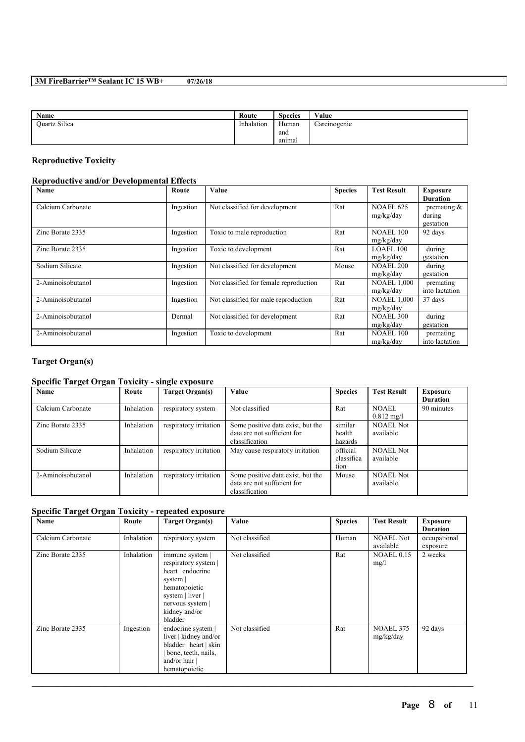| Name                 | Route      | <b>Species</b> | Value        |
|----------------------|------------|----------------|--------------|
| <b>Ouartz Silica</b> | Inhalation | Human          | Carcinogenic |
|                      |            | and            |              |
|                      |            | anımal         |              |

### **Reproductive Toxicity**

### **Reproductive and/or Developmental Effects**

| Name              | Route     | Value                                  | <b>Species</b> | <b>Test Result</b> | <b>Exposure</b> |
|-------------------|-----------|----------------------------------------|----------------|--------------------|-----------------|
|                   |           |                                        |                |                    | <b>Duration</b> |
| Calcium Carbonate | Ingestion | Not classified for development         | Rat            | <b>NOAEL 625</b>   | premating $\&$  |
|                   |           |                                        |                | mg/kg/day          | during          |
|                   |           |                                        |                |                    | gestation       |
| Zinc Borate 2335  | Ingestion | Toxic to male reproduction             | Rat            | <b>NOAEL 100</b>   | 92 days         |
|                   |           |                                        |                | mg/kg/day          |                 |
| Zinc Borate 2335  | Ingestion | Toxic to development                   | Rat            | LOAEL 100          | during          |
|                   |           |                                        |                | mg/kg/day          | gestation       |
| Sodium Silicate   | Ingestion | Not classified for development         | Mouse          | <b>NOAEL 200</b>   | during          |
|                   |           |                                        |                | mg/kg/day          | gestation       |
| 2-Aminoisobutanol | Ingestion | Not classified for female reproduction | Rat            | <b>NOAEL 1,000</b> | premating       |
|                   |           |                                        |                | mg/kg/day          | into lactation  |
| 2-Aminoisobutanol | Ingestion | Not classified for male reproduction   | Rat            | <b>NOAEL 1,000</b> | 37 days         |
|                   |           |                                        |                | mg/kg/day          |                 |
| 2-Aminoisobutanol | Dermal    | Not classified for development         | Rat            | <b>NOAEL 300</b>   | during          |
|                   |           |                                        |                | mg/kg/day          | gestation       |
| 2-Aminoisobutanol | Ingestion | Toxic to development                   | Rat            | <b>NOAEL 100</b>   | premating       |
|                   |           |                                        |                | mg/kg/day          | into lactation  |

## **Target Organ(s)**

# **Specific Target Organ Toxicity - single exposure**

| Name              | Route      | <b>Target Organ(s)</b> | Value                             | <b>Species</b> | <b>Test Result</b>   | <b>Exposure</b> |
|-------------------|------------|------------------------|-----------------------------------|----------------|----------------------|-----------------|
|                   |            |                        |                                   |                |                      | <b>Duration</b> |
| Calcium Carbonate | Inhalation | respiratory system     | Not classified                    | Rat            | NOAEL                | 90 minutes      |
|                   |            |                        |                                   |                | $0.812 \text{ mg/l}$ |                 |
| Zinc Borate 2335  | Inhalation | respiratory irritation | Some positive data exist, but the | similar        | <b>NOAEL Not</b>     |                 |
|                   |            |                        | data are not sufficient for       | health         | available            |                 |
|                   |            |                        | classification                    | hazards        |                      |                 |
| Sodium Silicate   | Inhalation | respiratory irritation | May cause respiratory irritation  | official       | <b>NOAEL Not</b>     |                 |
|                   |            |                        |                                   | classifica     | available            |                 |
|                   |            |                        |                                   | tion           |                      |                 |
| 2-Aminoisobutanol | Inhalation | respiratory irritation | Some positive data exist, but the | Mouse          | <b>NOAEL Not</b>     |                 |
|                   |            |                        | data are not sufficient for       |                | available            |                 |
|                   |            |                        | classification                    |                |                      |                 |

### **Specific Target Organ Toxicity - repeated exposure**

| Name              | Route      | <b>Target Organ(s)</b>                                                                                                                                  | Value          | <b>Species</b> | <b>Test Result</b>            | <b>Exposure</b><br><b>Duration</b> |
|-------------------|------------|---------------------------------------------------------------------------------------------------------------------------------------------------------|----------------|----------------|-------------------------------|------------------------------------|
| Calcium Carbonate | Inhalation | respiratory system                                                                                                                                      | Not classified | Human          | <b>NOAEL Not</b><br>available | occupational<br>exposure           |
| Zinc Borate 2335  | Inhalation | immune system<br>respiratory system  <br>heart   endocrine<br>system<br>hematopoietic<br>system   liver  <br>nervous system<br>kidney and/or<br>bladder | Not classified | Rat            | <b>NOAEL 0.15</b><br>mg/l     | 2 weeks                            |
| Zinc Borate 2335  | Ingestion  | endocrine system  <br>liver   kidney and/or<br>bladder   heart   skin<br>bone, teeth, nails,<br>and/or hair<br>hematopoietic                            | Not classified | Rat            | NOAEL 375<br>mg/kg/day        | 92 days                            |

 $\mathcal{L}_\mathcal{L} = \mathcal{L}_\mathcal{L} = \mathcal{L}_\mathcal{L} = \mathcal{L}_\mathcal{L} = \mathcal{L}_\mathcal{L} = \mathcal{L}_\mathcal{L} = \mathcal{L}_\mathcal{L} = \mathcal{L}_\mathcal{L} = \mathcal{L}_\mathcal{L} = \mathcal{L}_\mathcal{L} = \mathcal{L}_\mathcal{L} = \mathcal{L}_\mathcal{L} = \mathcal{L}_\mathcal{L} = \mathcal{L}_\mathcal{L} = \mathcal{L}_\mathcal{L} = \mathcal{L}_\mathcal{L} = \mathcal{L}_\mathcal{L}$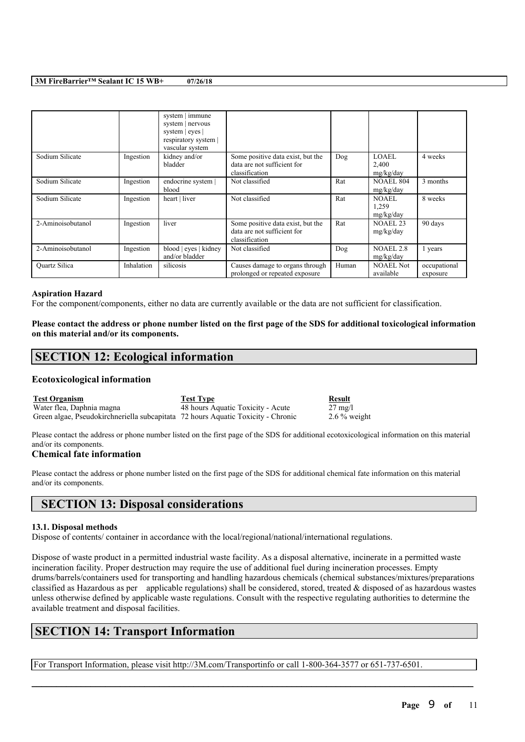|                      |            | system   immune<br>system   nervous<br>system   eyes  <br>respiratory system  <br>vascular system |                                                                                    |       |                                    |                          |
|----------------------|------------|---------------------------------------------------------------------------------------------------|------------------------------------------------------------------------------------|-------|------------------------------------|--------------------------|
| Sodium Silicate      | Ingestion  | kidney and/or<br>bladder                                                                          | Some positive data exist, but the<br>data are not sufficient for<br>classification | Dog   | LOAEL<br>2,400<br>mg/kg/day        | 4 weeks                  |
| Sodium Silicate      | Ingestion  | endocrine system  <br>blood                                                                       | Not classified                                                                     | Rat   | <b>NOAEL 804</b><br>mg/kg/day      | 3 months                 |
| Sodium Silicate      | Ingestion  | heart   liver                                                                                     | Not classified                                                                     | Rat   | <b>NOAEL</b><br>1,259<br>mg/kg/day | 8 weeks                  |
| 2-Aminoisobutanol    | Ingestion  | liver                                                                                             | Some positive data exist, but the<br>data are not sufficient for<br>classification | Rat   | NOAEL <sub>23</sub><br>mg/kg/day   | 90 days                  |
| 2-Aminoisobutanol    | Ingestion  | blood   eyes   kidney<br>and/or bladder                                                           | Not classified                                                                     | Dog   | <b>NOAEL 2.8</b><br>mg/kg/day      | 1 years                  |
| <b>Ouartz Silica</b> | Inhalation | silicosis                                                                                         | Causes damage to organs through<br>prolonged or repeated exposure                  | Human | <b>NOAEL Not</b><br>available      | occupational<br>exposure |

#### **Aspiration Hazard**

For the component/components, either no data are currently available or the data are not sufficient for classification.

Please contact the address or phone number listed on the first page of the SDS for additional toxicological information **on this material and/or its components.**

# **SECTION 12: Ecological information**

#### **Ecotoxicological information**

**Test Organism Test Type Result** Water flea, Daphnia magna 48 hours Aquatic Toxicity - Acute 27 mg/l Green algae, Pseudokirchneriella subcapitata 72 hours Aquatic Toxicity - Chronic 2.6 % weight

Please contact the address or phone number listed on the first page of the SDS for additional ecotoxicological information on this material and/or its components.

#### **Chemical fate information**

Please contact the address or phone number listed on the first page of the SDS for additional chemical fate information on this material and/or its components.

# **SECTION 13: Disposal considerations**

#### **13.1. Disposal methods**

Dispose of contents/ container in accordance with the local/regional/national/international regulations.

Dispose of waste product in a permitted industrial waste facility. As a disposal alternative, incinerate in a permitted waste incineration facility. Proper destruction may require the use of additional fuel during incineration processes. Empty drums/barrels/containers used for transporting and handling hazardous chemicals (chemical substances/mixtures/preparations classified as Hazardous as per applicable regulations) shall be considered, stored, treated  $\&$  disposed of as hazardous wastes unless otherwise defined by applicable waste regulations. Consult with the respective regulating authorities to determine the available treatment and disposal facilities.

 $\mathcal{L}_\mathcal{L} = \mathcal{L}_\mathcal{L} = \mathcal{L}_\mathcal{L} = \mathcal{L}_\mathcal{L} = \mathcal{L}_\mathcal{L} = \mathcal{L}_\mathcal{L} = \mathcal{L}_\mathcal{L} = \mathcal{L}_\mathcal{L} = \mathcal{L}_\mathcal{L} = \mathcal{L}_\mathcal{L} = \mathcal{L}_\mathcal{L} = \mathcal{L}_\mathcal{L} = \mathcal{L}_\mathcal{L} = \mathcal{L}_\mathcal{L} = \mathcal{L}_\mathcal{L} = \mathcal{L}_\mathcal{L} = \mathcal{L}_\mathcal{L}$ 

# **SECTION 14: Transport Information**

For Transport Information, please visit http://3M.com/Transportinfo or call 1-800-364-3577 or 651-737-6501.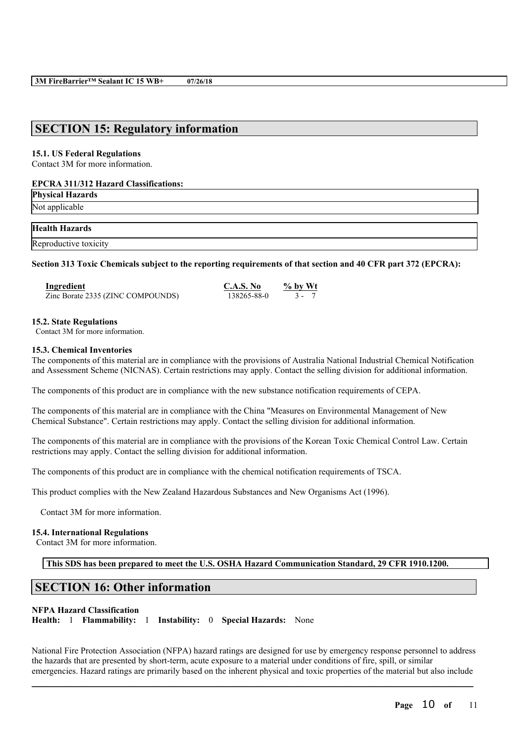# **SECTION 15: Regulatory information**

#### **15.1. US Federal Regulations**

Contact 3M for more information.

#### **EPCRA 311/312 Hazard Classifications:**

**Physical Hazards** Not applicable

**Health Hazards**

Reproductive toxicity

Section 313 Toxic Chemicals subject to the reporting requirements of that section and 40 CFR part 372 (EPCRA):

| Ingredient                        | C.A.S. No   | $\%$ by Wt |
|-----------------------------------|-------------|------------|
| Zinc Borate 2335 (ZINC COMPOUNDS) | 138265-88-0 | $3 - 7$    |

#### **15.2. State Regulations**

Contact 3M for more information.

#### **15.3. Chemical Inventories**

The components of this material are in compliance with the provisions of Australia National Industrial Chemical Notification and Assessment Scheme (NICNAS). Certain restrictions may apply. Contact the selling division for additional information.

The components of this product are in compliance with the new substance notification requirements of CEPA.

The components of this material are in compliance with the China "Measures on Environmental Management of New Chemical Substance". Certain restrictions may apply. Contact the selling division for additional information.

The components of this material are in compliance with the provisions of the Korean Toxic Chemical Control Law. Certain restrictions may apply. Contact the selling division for additional information.

The components of this product are in compliance with the chemical notification requirements of TSCA.

This product complies with the New Zealand Hazardous Substances and New Organisms Act (1996).

Contact 3M for more information.

#### **15.4. International Regulations**

Contact 3M for more information.

**This SDS has been prepared to meet the U.S. OSHA Hazard Communication Standard, 29 CFR 1910.1200.**

# **SECTION 16: Other information**

#### **NFPA Hazard Classification**

**Health:** 1 **Flammability:** 1 **Instability:** 0 **Special Hazards:** None

National Fire Protection Association (NFPA) hazard ratings are designed for use by emergency response personnel to address the hazards that are presented by short-term, acute exposure to a material under conditions of fire, spill, or similar emergencies. Hazard ratings are primarily based on the inherent physical and toxic properties of the material but also include

 $\mathcal{L}_\mathcal{L} = \mathcal{L}_\mathcal{L} = \mathcal{L}_\mathcal{L} = \mathcal{L}_\mathcal{L} = \mathcal{L}_\mathcal{L} = \mathcal{L}_\mathcal{L} = \mathcal{L}_\mathcal{L} = \mathcal{L}_\mathcal{L} = \mathcal{L}_\mathcal{L} = \mathcal{L}_\mathcal{L} = \mathcal{L}_\mathcal{L} = \mathcal{L}_\mathcal{L} = \mathcal{L}_\mathcal{L} = \mathcal{L}_\mathcal{L} = \mathcal{L}_\mathcal{L} = \mathcal{L}_\mathcal{L} = \mathcal{L}_\mathcal{L}$